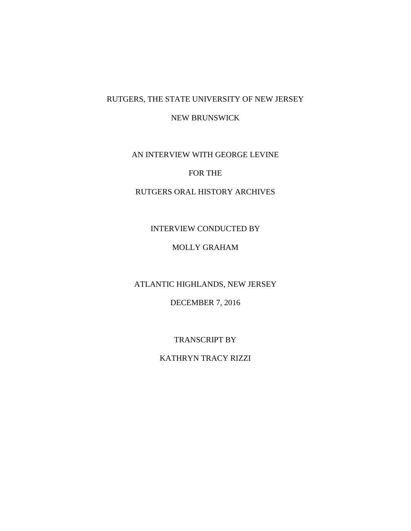# RUTGERS, THE STATE UNIVERSITY OF NEW JERSEY

NEW BRUNSWICK

AN INTERVIEW WITH GEORGE LEVINE

## FOR THE

### RUTGERS ORAL HISTORY ARCHIVES

### INTERVIEW CONDUCTED BY

# MOLLY GRAHAM

ATLANTIC HIGHLANDS, NEW JERSEY

DECEMBER 7, 2016

TRANSCRIPT BY

KATHRYN TRACY RIZZI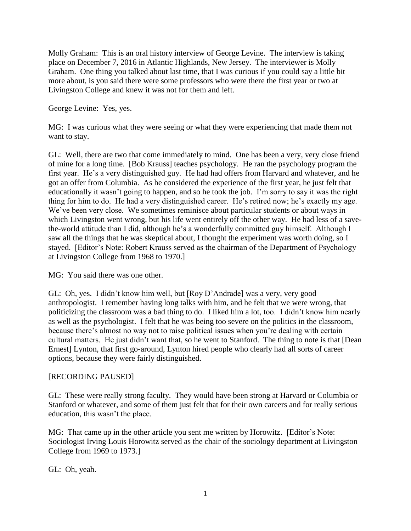Molly Graham: This is an oral history interview of George Levine. The interview is taking place on December 7, 2016 in Atlantic Highlands, New Jersey. The interviewer is Molly Graham. One thing you talked about last time, that I was curious if you could say a little bit more about, is you said there were some professors who were there the first year or two at Livingston College and knew it was not for them and left.

George Levine: Yes, yes.

MG: I was curious what they were seeing or what they were experiencing that made them not want to stay.

GL: Well, there are two that come immediately to mind. One has been a very, very close friend of mine for a long time. [Bob Krauss] teaches psychology. He ran the psychology program the first year. He's a very distinguished guy. He had had offers from Harvard and whatever, and he got an offer from Columbia. As he considered the experience of the first year, he just felt that educationally it wasn't going to happen, and so he took the job. I'm sorry to say it was the right thing for him to do. He had a very distinguished career. He's retired now; he's exactly my age. We've been very close. We sometimes reminisce about particular students or about ways in which Livingston went wrong, but his life went entirely off the other way. He had less of a savethe-world attitude than I did, although he's a wonderfully committed guy himself. Although I saw all the things that he was skeptical about, I thought the experiment was worth doing, so I stayed. [Editor's Note: Robert Krauss served as the chairman of the Department of Psychology at Livingston College from 1968 to 1970.]

MG: You said there was one other.

GL: Oh, yes. I didn't know him well, but [Roy D'Andrade] was a very, very good anthropologist. I remember having long talks with him, and he felt that we were wrong, that politicizing the classroom was a bad thing to do. I liked him a lot, too. I didn't know him nearly as well as the psychologist. I felt that he was being too severe on the politics in the classroom, because there's almost no way not to raise political issues when you're dealing with certain cultural matters. He just didn't want that, so he went to Stanford. The thing to note is that [Dean Ernest] Lynton, that first go-around, Lynton hired people who clearly had all sorts of career options, because they were fairly distinguished.

# [RECORDING PAUSED]

GL: These were really strong faculty. They would have been strong at Harvard or Columbia or Stanford or whatever, and some of them just felt that for their own careers and for really serious education, this wasn't the place.

MG: That came up in the other article you sent me written by Horowitz. [Editor's Note: Sociologist Irving Louis Horowitz served as the chair of the sociology department at Livingston College from 1969 to 1973.]

GL: Oh, yeah.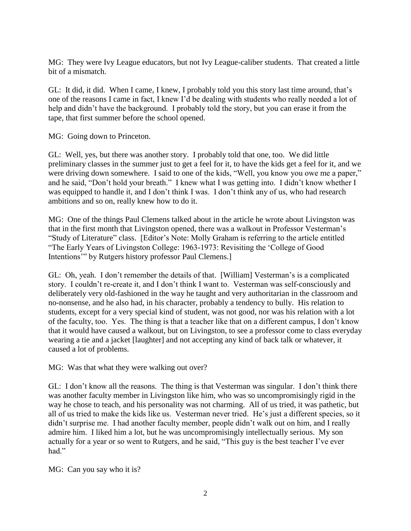MG: They were Ivy League educators, but not Ivy League-caliber students. That created a little bit of a mismatch.

GL: It did, it did. When I came, I knew, I probably told you this story last time around, that's one of the reasons I came in fact, I knew I'd be dealing with students who really needed a lot of help and didn't have the background. I probably told the story, but you can erase it from the tape, that first summer before the school opened.

MG: Going down to Princeton.

GL: Well, yes, but there was another story. I probably told that one, too. We did little preliminary classes in the summer just to get a feel for it, to have the kids get a feel for it, and we were driving down somewhere. I said to one of the kids, "Well, you know you owe me a paper," and he said, "Don't hold your breath." I knew what I was getting into. I didn't know whether I was equipped to handle it, and I don't think I was. I don't think any of us, who had research ambitions and so on, really knew how to do it.

MG: One of the things Paul Clemens talked about in the article he wrote about Livingston was that in the first month that Livingston opened, there was a walkout in Professor Vesterman's "Study of Literature" class. [Editor's Note: Molly Graham is referring to the article entitled "The Early Years of Livingston College: 1963-1973: Revisiting the 'College of Good Intentions'" by Rutgers history professor Paul Clemens.]

GL: Oh, yeah. I don't remember the details of that. [William] Vesterman's is a complicated story. I couldn't re-create it, and I don't think I want to. Vesterman was self-consciously and deliberately very old-fashioned in the way he taught and very authoritarian in the classroom and no-nonsense, and he also had, in his character, probably a tendency to bully. His relation to students, except for a very special kind of student, was not good, nor was his relation with a lot of the faculty, too. Yes. The thing is that a teacher like that on a different campus, I don't know that it would have caused a walkout, but on Livingston, to see a professor come to class everyday wearing a tie and a jacket [laughter] and not accepting any kind of back talk or whatever, it caused a lot of problems.

MG: Was that what they were walking out over?

GL: I don't know all the reasons. The thing is that Vesterman was singular. I don't think there was another faculty member in Livingston like him, who was so uncompromisingly rigid in the way he chose to teach, and his personality was not charming. All of us tried, it was pathetic, but all of us tried to make the kids like us. Vesterman never tried. He's just a different species, so it didn't surprise me. I had another faculty member, people didn't walk out on him, and I really admire him. I liked him a lot, but he was uncompromisingly intellectually serious. My son actually for a year or so went to Rutgers, and he said, "This guy is the best teacher I've ever had."

MG: Can you say who it is?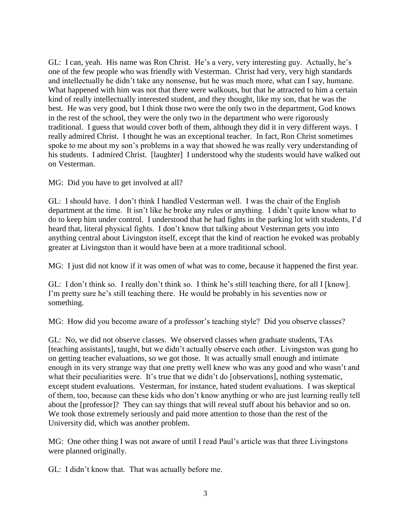GL: I can, yeah. His name was Ron Christ. He's a very, very interesting guy. Actually, he's one of the few people who was friendly with Vesterman. Christ had very, very high standards and intellectually he didn't take any nonsense, but he was much more, what can I say, humane. What happened with him was not that there were walkouts, but that he attracted to him a certain kind of really intellectually interested student, and they thought, like my son, that he was the best. He was very good, but I think those two were the only two in the department, God knows in the rest of the school, they were the only two in the department who were rigorously traditional. I guess that would cover both of them, although they did it in very different ways. I really admired Christ. I thought he was an exceptional teacher. In fact, Ron Christ sometimes spoke to me about my son's problems in a way that showed he was really very understanding of his students. I admired Christ. [laughter] I understood why the students would have walked out on Vesterman.

MG: Did you have to get involved at all?

GL: I should have. I don't think I handled Vesterman well. I was the chair of the English department at the time. It isn't like he broke any rules or anything. I didn't quite know what to do to keep him under control. I understood that he had fights in the parking lot with students, I'd heard that, literal physical fights. I don't know that talking about Vesterman gets you into anything central about Livingston itself, except that the kind of reaction he evoked was probably greater at Livingston than it would have been at a more traditional school.

MG: I just did not know if it was omen of what was to come, because it happened the first year.

GL: I don't think so. I really don't think so. I think he's still teaching there, for all I [know]. I'm pretty sure he's still teaching there. He would be probably in his seventies now or something.

MG: How did you become aware of a professor's teaching style? Did you observe classes?

GL: No, we did not observe classes. We observed classes when graduate students, TAs [teaching assistants], taught, but we didn't actually observe each other. Livingston was gung ho on getting teacher evaluations, so we got those. It was actually small enough and intimate enough in its very strange way that one pretty well knew who was any good and who wasn't and what their peculiarities were. It's true that we didn't do [observations], nothing systematic, except student evaluations. Vesterman, for instance, hated student evaluations. I was skeptical of them, too, because can these kids who don't know anything or who are just learning really tell about the [professor]? They can say things that will reveal stuff about his behavior and so on. We took those extremely seriously and paid more attention to those than the rest of the University did, which was another problem.

MG: One other thing I was not aware of until I read Paul's article was that three Livingstons were planned originally.

GL: I didn't know that. That was actually before me.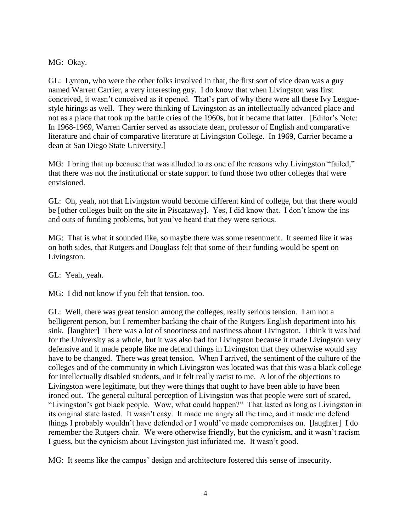MG: Okay.

GL: Lynton, who were the other folks involved in that, the first sort of vice dean was a guy named Warren Carrier, a very interesting guy. I do know that when Livingston was first conceived, it wasn't conceived as it opened. That's part of why there were all these Ivy Leaguestyle hirings as well. They were thinking of Livingston as an intellectually advanced place and not as a place that took up the battle cries of the 1960s, but it became that latter. [Editor's Note: In 1968-1969, Warren Carrier served as associate dean, professor of English and comparative literature and chair of comparative literature at Livingston College. In 1969, Carrier became a dean at San Diego State University.]

MG: I bring that up because that was alluded to as one of the reasons why Livingston "failed," that there was not the institutional or state support to fund those two other colleges that were envisioned.

GL: Oh, yeah, not that Livingston would become different kind of college, but that there would be [other colleges built on the site in Piscataway]. Yes, I did know that. I don't know the ins and outs of funding problems, but you've heard that they were serious.

MG: That is what it sounded like, so maybe there was some resentment. It seemed like it was on both sides, that Rutgers and Douglass felt that some of their funding would be spent on Livingston.

GL: Yeah, yeah.

MG: I did not know if you felt that tension, too.

GL: Well, there was great tension among the colleges, really serious tension. I am not a belligerent person, but I remember backing the chair of the Rutgers English department into his sink. [laughter] There was a lot of snootiness and nastiness about Livingston. I think it was bad for the University as a whole, but it was also bad for Livingston because it made Livingston very defensive and it made people like me defend things in Livingston that they otherwise would say have to be changed. There was great tension. When I arrived, the sentiment of the culture of the colleges and of the community in which Livingston was located was that this was a black college for intellectually disabled students, and it felt really racist to me. A lot of the objections to Livingston were legitimate, but they were things that ought to have been able to have been ironed out. The general cultural perception of Livingston was that people were sort of scared, "Livingston's got black people. Wow, what could happen?" That lasted as long as Livingston in its original state lasted. It wasn't easy. It made me angry all the time, and it made me defend things I probably wouldn't have defended or I would've made compromises on. [laughter] I do remember the Rutgers chair. We were otherwise friendly, but the cynicism, and it wasn't racism I guess, but the cynicism about Livingston just infuriated me. It wasn't good.

MG: It seems like the campus' design and architecture fostered this sense of insecurity.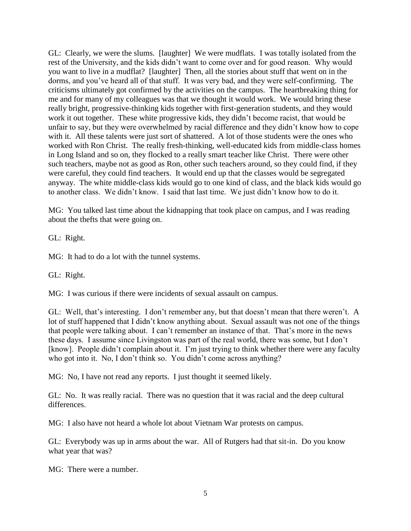GL: Clearly, we were the slums. [laughter] We were mudflats. I was totally isolated from the rest of the University, and the kids didn't want to come over and for good reason. Why would you want to live in a mudflat? [laughter] Then, all the stories about stuff that went on in the dorms, and you've heard all of that stuff. It was very bad, and they were self-confirming. The criticisms ultimately got confirmed by the activities on the campus. The heartbreaking thing for me and for many of my colleagues was that we thought it would work. We would bring these really bright, progressive-thinking kids together with first-generation students, and they would work it out together. These white progressive kids, they didn't become racist, that would be unfair to say, but they were overwhelmed by racial difference and they didn't know how to cope with it. All these talents were just sort of shattered. A lot of those students were the ones who worked with Ron Christ. The really fresh-thinking, well-educated kids from middle-class homes in Long Island and so on, they flocked to a really smart teacher like Christ. There were other such teachers, maybe not as good as Ron, other such teachers around, so they could find, if they were careful, they could find teachers. It would end up that the classes would be segregated anyway. The white middle-class kids would go to one kind of class, and the black kids would go to another class. We didn't know. I said that last time. We just didn't know how to do it.

MG: You talked last time about the kidnapping that took place on campus, and I was reading about the thefts that were going on.

GL: Right.

MG: It had to do a lot with the tunnel systems.

GL: Right.

MG: I was curious if there were incidents of sexual assault on campus.

GL: Well, that's interesting. I don't remember any, but that doesn't mean that there weren't. A lot of stuff happened that I didn't know anything about. Sexual assault was not one of the things that people were talking about. I can't remember an instance of that. That's more in the news these days. I assume since Livingston was part of the real world, there was some, but I don't [know]. People didn't complain about it. I'm just trying to think whether there were any faculty who got into it. No, I don't think so. You didn't come across anything?

MG: No, I have not read any reports. I just thought it seemed likely.

GL: No. It was really racial. There was no question that it was racial and the deep cultural differences.

MG: I also have not heard a whole lot about Vietnam War protests on campus.

GL: Everybody was up in arms about the war. All of Rutgers had that sit-in. Do you know what year that was?

MG: There were a number.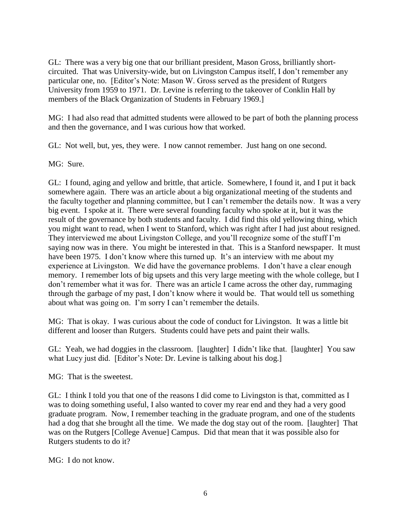GL: There was a very big one that our brilliant president, Mason Gross, brilliantly shortcircuited. That was University-wide, but on Livingston Campus itself, I don't remember any particular one, no. [Editor's Note: Mason W. Gross served as the president of Rutgers University from 1959 to 1971. Dr. Levine is referring to the takeover of Conklin Hall by members of the Black Organization of Students in February 1969.]

MG: I had also read that admitted students were allowed to be part of both the planning process and then the governance, and I was curious how that worked.

GL: Not well, but, yes, they were. I now cannot remember. Just hang on one second.

MG: Sure.

GL: I found, aging and yellow and brittle, that article. Somewhere, I found it, and I put it back somewhere again. There was an article about a big organizational meeting of the students and the faculty together and planning committee, but I can't remember the details now. It was a very big event. I spoke at it. There were several founding faculty who spoke at it, but it was the result of the governance by both students and faculty. I did find this old yellowing thing, which you might want to read, when I went to Stanford, which was right after I had just about resigned. They interviewed me about Livingston College, and you'll recognize some of the stuff I'm saying now was in there. You might be interested in that. This is a Stanford newspaper. It must have been 1975. I don't know where this turned up. It's an interview with me about my experience at Livingston. We did have the governance problems. I don't have a clear enough memory. I remember lots of big upsets and this very large meeting with the whole college, but I don't remember what it was for. There was an article I came across the other day, rummaging through the garbage of my past, I don't know where it would be. That would tell us something about what was going on. I'm sorry I can't remember the details.

MG: That is okay. I was curious about the code of conduct for Livingston. It was a little bit different and looser than Rutgers. Students could have pets and paint their walls.

GL: Yeah, we had doggies in the classroom. [laughter] I didn't like that. [laughter] You saw what Lucy just did. [Editor's Note: Dr. Levine is talking about his dog.]

MG: That is the sweetest.

GL: I think I told you that one of the reasons I did come to Livingston is that, committed as I was to doing something useful, I also wanted to cover my rear end and they had a very good graduate program. Now, I remember teaching in the graduate program, and one of the students had a dog that she brought all the time. We made the dog stay out of the room. [laughter] That was on the Rutgers [College Avenue] Campus. Did that mean that it was possible also for Rutgers students to do it?

MG: I do not know.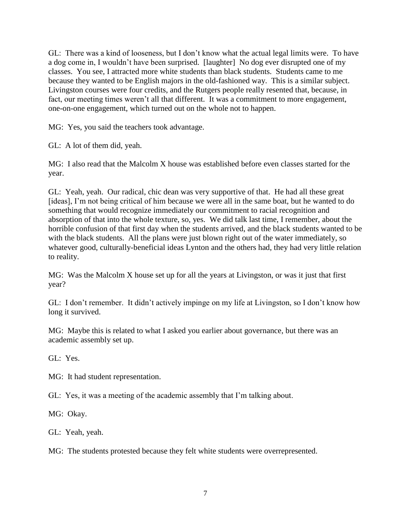GL: There was a kind of looseness, but I don't know what the actual legal limits were. To have a dog come in, I wouldn't have been surprised. [laughter] No dog ever disrupted one of my classes. You see, I attracted more white students than black students. Students came to me because they wanted to be English majors in the old-fashioned way. This is a similar subject. Livingston courses were four credits, and the Rutgers people really resented that, because, in fact, our meeting times weren't all that different. It was a commitment to more engagement, one-on-one engagement, which turned out on the whole not to happen.

MG: Yes, you said the teachers took advantage.

GL: A lot of them did, yeah.

MG: I also read that the Malcolm X house was established before even classes started for the year.

GL: Yeah, yeah. Our radical, chic dean was very supportive of that. He had all these great [ideas], I'm not being critical of him because we were all in the same boat, but he wanted to do something that would recognize immediately our commitment to racial recognition and absorption of that into the whole texture, so, yes. We did talk last time, I remember, about the horrible confusion of that first day when the students arrived, and the black students wanted to be with the black students. All the plans were just blown right out of the water immediately, so whatever good, culturally-beneficial ideas Lynton and the others had, they had very little relation to reality.

MG: Was the Malcolm X house set up for all the years at Livingston, or was it just that first year?

GL: I don't remember. It didn't actively impinge on my life at Livingston, so I don't know how long it survived.

MG: Maybe this is related to what I asked you earlier about governance, but there was an academic assembly set up.

GL: Yes.

MG: It had student representation.

GL: Yes, it was a meeting of the academic assembly that I'm talking about.

MG: Okay.

GL: Yeah, yeah.

MG: The students protested because they felt white students were overrepresented.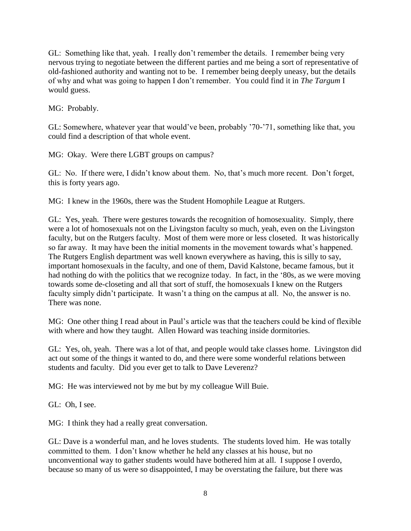GL: Something like that, yeah. I really don't remember the details. I remember being very nervous trying to negotiate between the different parties and me being a sort of representative of old-fashioned authority and wanting not to be. I remember being deeply uneasy, but the details of why and what was going to happen I don't remember. You could find it in *The Targum* I would guess.

MG: Probably.

GL: Somewhere, whatever year that would've been, probably '70-'71, something like that, you could find a description of that whole event.

MG: Okay. Were there LGBT groups on campus?

GL: No. If there were, I didn't know about them. No, that's much more recent. Don't forget, this is forty years ago.

MG: I knew in the 1960s, there was the Student Homophile League at Rutgers.

GL: Yes, yeah. There were gestures towards the recognition of homosexuality. Simply, there were a lot of homosexuals not on the Livingston faculty so much, yeah, even on the Livingston faculty, but on the Rutgers faculty. Most of them were more or less closeted. It was historically so far away. It may have been the initial moments in the movement towards what's happened. The Rutgers English department was well known everywhere as having, this is silly to say, important homosexuals in the faculty, and one of them, David Kalstone, became famous, but it had nothing do with the politics that we recognize today. In fact, in the '80s, as we were moving towards some de-closeting and all that sort of stuff, the homosexuals I knew on the Rutgers faculty simply didn't participate. It wasn't a thing on the campus at all. No, the answer is no. There was none.

MG: One other thing I read about in Paul's article was that the teachers could be kind of flexible with where and how they taught. Allen Howard was teaching inside dormitories.

GL: Yes, oh, yeah. There was a lot of that, and people would take classes home. Livingston did act out some of the things it wanted to do, and there were some wonderful relations between students and faculty. Did you ever get to talk to Dave Leverenz?

MG: He was interviewed not by me but by my colleague Will Buie.

GL: Oh, I see.

MG: I think they had a really great conversation.

GL: Dave is a wonderful man, and he loves students. The students loved him. He was totally committed to them. I don't know whether he held any classes at his house, but no unconventional way to gather students would have bothered him at all. I suppose I overdo, because so many of us were so disappointed, I may be overstating the failure, but there was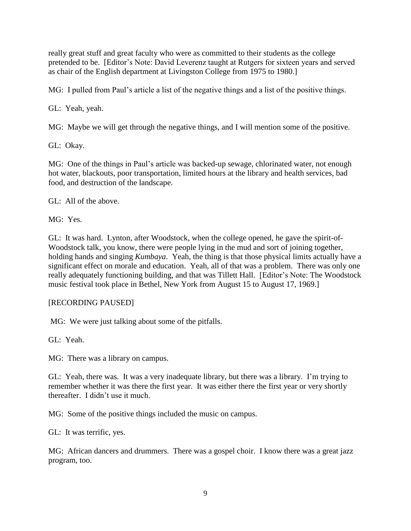really great stuff and great faculty who were as committed to their students as the college pretended to be. [Editor's Note: David Leverenz taught at Rutgers for sixteen years and served as chair of the English department at Livingston College from 1975 to 1980.]

MG: I pulled from Paul's article a list of the negative things and a list of the positive things.

GL: Yeah, yeah.

MG: Maybe we will get through the negative things, and I will mention some of the positive.

GL: Okay.

MG: One of the things in Paul's article was backed-up sewage, chlorinated water, not enough hot water, blackouts, poor transportation, limited hours at the library and health services, bad food, and destruction of the landscape.

GL: All of the above.

MG: Yes.

GL: It was hard. Lynton, after Woodstock, when the college opened, he gave the spirit-of-Woodstock talk, you know, there were people lying in the mud and sort of joining together, holding hands and singing *Kumbaya*. Yeah, the thing is that those physical limits actually have a significant effect on morale and education. Yeah, all of that was a problem. There was only one really adequately functioning building, and that was Tillett Hall. [Editor's Note: The Woodstock music festival took place in Bethel, New York from August 15 to August 17, 1969.]

# [RECORDING PAUSED]

MG: We were just talking about some of the pitfalls.

GL: Yeah.

MG: There was a library on campus.

GL: Yeah, there was. It was a very inadequate library, but there was a library. I'm trying to remember whether it was there the first year. It was either there the first year or very shortly thereafter. I didn't use it much.

MG: Some of the positive things included the music on campus.

GL: It was terrific, yes.

MG: African dancers and drummers. There was a gospel choir. I know there was a great jazz program, too.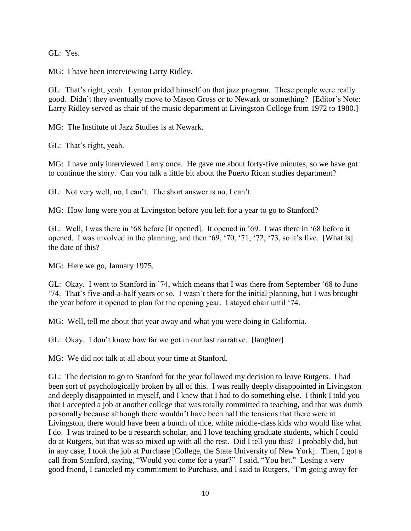GL: Yes.

MG: I have been interviewing Larry Ridley.

GL: That's right, yeah. Lynton prided himself on that jazz program. These people were really good. Didn't they eventually move to Mason Gross or to Newark or something? [Editor's Note: Larry Ridley served as chair of the music department at Livingston College from 1972 to 1980.]

MG: The Institute of Jazz Studies is at Newark.

GL: That's right, yeah.

MG: I have only interviewed Larry once. He gave me about forty-five minutes, so we have got to continue the story. Can you talk a little bit about the Puerto Rican studies department?

GL: Not very well, no, I can't. The short answer is no, I can't.

MG: How long were you at Livingston before you left for a year to go to Stanford?

GL: Well, I was there in '68 before [it opened]. It opened in '69. I was there in '68 before it opened. I was involved in the planning, and then '69, '70, '71, '72, '73, so it's five. [What is] the date of this?

MG: Here we go, January 1975.

GL: Okay. I went to Stanford in '74, which means that I was there from September '68 to June '74. That's five-and-a-half years or so. I wasn't there for the initial planning, but I was brought the year before it opened to plan for the opening year. I stayed chair until '74.

MG: Well, tell me about that year away and what you were doing in California.

GL: Okay. I don't know how far we got in our last narrative. [laughter]

MG: We did not talk at all about your time at Stanford.

GL: The decision to go to Stanford for the year followed my decision to leave Rutgers. I had been sort of psychologically broken by all of this. I was really deeply disappointed in Livingston and deeply disappointed in myself, and I knew that I had to do something else. I think I told you that I accepted a job at another college that was totally committed to teaching, and that was dumb personally because although there wouldn't have been half the tensions that there were at Livingston, there would have been a bunch of nice, white middle-class kids who would like what I do. I was trained to be a research scholar, and I love teaching graduate students, which I could do at Rutgers, but that was so mixed up with all the rest. Did I tell you this? I probably did, but in any case, I took the job at Purchase [College, the State University of New York]. Then, I got a call from Stanford, saying, "Would you come for a year?" I said, "You bet." Losing a very good friend, I canceled my commitment to Purchase, and I said to Rutgers, "I'm going away for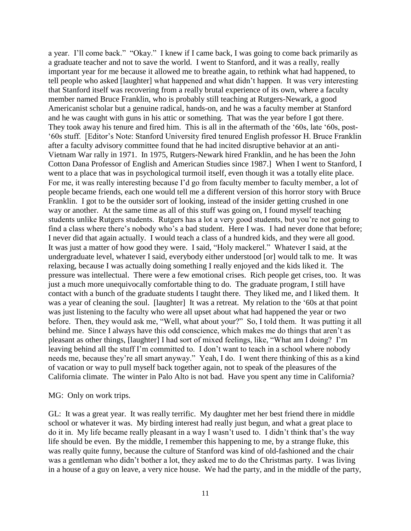a year. I'll come back." "Okay." I knew if I came back, I was going to come back primarily as a graduate teacher and not to save the world. I went to Stanford, and it was a really, really important year for me because it allowed me to breathe again, to rethink what had happened, to tell people who asked [laughter] what happened and what didn't happen. It was very interesting that Stanford itself was recovering from a really brutal experience of its own, where a faculty member named Bruce Franklin, who is probably still teaching at Rutgers-Newark, a good Americanist scholar but a genuine radical, hands-on, and he was a faculty member at Stanford and he was caught with guns in his attic or something. That was the year before I got there. They took away his tenure and fired him. This is all in the aftermath of the '60s, late '60s, post- '60s stuff. [Editor's Note: Stanford University fired tenured English professor H. Bruce Franklin after a faculty advisory committee found that he had incited disruptive behavior at an anti-Vietnam War rally in 1971. In 1975, Rutgers-Newark hired Franklin, and he has been the John Cotton Dana Professor of English and American Studies since 1987.] When I went to Stanford, I went to a place that was in psychological turmoil itself, even though it was a totally elite place. For me, it was really interesting because I'd go from faculty member to faculty member, a lot of people became friends, each one would tell me a different version of this horror story with Bruce Franklin. I got to be the outsider sort of looking, instead of the insider getting crushed in one way or another. At the same time as all of this stuff was going on, I found myself teaching students unlike Rutgers students. Rutgers has a lot a very good students, but you're not going to find a class where there's nobody who's a bad student. Here I was. I had never done that before; I never did that again actually. I would teach a class of a hundred kids, and they were all good. It was just a matter of how good they were. I said, "Holy mackerel." Whatever I said, at the undergraduate level, whatever I said, everybody either understood [or] would talk to me. It was relaxing, because I was actually doing something I really enjoyed and the kids liked it. The pressure was intellectual. There were a few emotional crises. Rich people get crises, too. It was just a much more unequivocally comfortable thing to do. The graduate program, I still have contact with a bunch of the graduate students I taught there. They liked me, and I liked them. It was a year of cleaning the soul. [laughter] It was a retreat. My relation to the '60s at that point was just listening to the faculty who were all upset about what had happened the year or two before. Then, they would ask me, "Well, what about your?" So, I told them. It was putting it all behind me. Since I always have this odd conscience, which makes me do things that aren't as pleasant as other things, [laughter] I had sort of mixed feelings, like, "What am I doing? I'm leaving behind all the stuff I'm committed to. I don't want to teach in a school where nobody needs me, because they're all smart anyway." Yeah, I do. I went there thinking of this as a kind of vacation or way to pull myself back together again, not to speak of the pleasures of the California climate. The winter in Palo Alto is not bad. Have you spent any time in California?

#### MG: Only on work trips.

GL: It was a great year. It was really terrific. My daughter met her best friend there in middle school or whatever it was. My birding interest had really just begun, and what a great place to do it in. My life became really pleasant in a way I wasn't used to. I didn't think that's the way life should be even. By the middle, I remember this happening to me, by a strange fluke, this was really quite funny, because the culture of Stanford was kind of old-fashioned and the chair was a gentleman who didn't bother a lot, they asked me to do the Christmas party. I was living in a house of a guy on leave, a very nice house. We had the party, and in the middle of the party,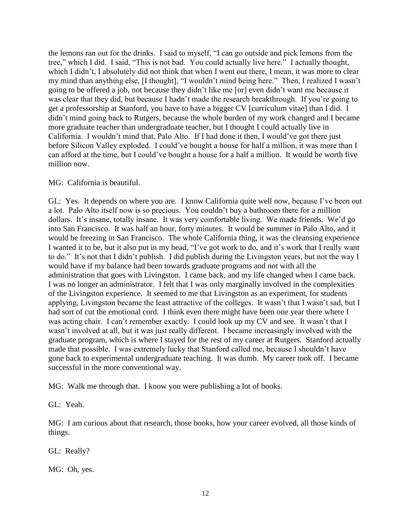the lemons ran out for the drinks. I said to myself, "I can go outside and pick lemons from the tree," which I did. I said, "This is not bad. You could actually live here." I actually thought, which I didn't, I absolutely did not think that when I went out there, I mean, it was more to clear my mind than anything else, [I thought], "I wouldn't mind being here." Then, I realized I wasn't going to be offered a job, not because they didn't like me [or] even didn't want me because it was clear that they did, but because I hadn't made the research breakthrough. If you're going to get a professorship at Stanford, you have to have a bigger CV [curriculum vitae] than I did. I didn't mind going back to Rutgers, because the whole burden of my work changed and I became more graduate teacher than undergraduate teacher, but I thought I could actually live in California. I wouldn't mind that, Palo Alto. If I had done it then, I would've got there just before Silicon Valley exploded. I could've bought a house for half a million, it was more than I can afford at the time, but I could've bought a house for a half a million. It would be worth five million now.

#### MG: California is beautiful.

GL: Yes. It depends on where you are. I know California quite well now, because I've been out a lot. Palo Alto itself now is so precious. You couldn't buy a bathroom there for a million dollars. It's insane, totally insane. It was very comfortable living. We made friends. We'd go into San Francisco. It was half an hour, forty minutes. It would be summer in Palo Alto, and it would be freezing in San Francisco. The whole California thing, it was the cleansing experience I wanted it to be, but it also put in my head, "I've got work to do, and it's work that I really want to do." It's not that I didn't publish. I did publish during the Livingston years, but not the way I would have if my balance had been towards graduate programs and not with all the administration that goes with Livingston. I came back, and my life changed when I came back. I was no longer an administrator. I felt that I was only marginally involved in the complexities of the Livingston experience. It seemed to me that Livingston as an experiment, for students applying, Livingston became the least attractive of the colleges. It wasn't that I wasn't sad, but I had sort of cut the emotional cord. I think even there might have been one year there where I was acting chair. I can't remember exactly. I could look up my CV and see. It wasn't that I wasn't involved at all, but it was just really different. I became increasingly involved with the graduate program, which is where I stayed for the rest of my career at Rutgers. Stanford actually made that possible. I was extremely lucky that Stanford called me, because I shouldn't have gone back to experimental undergraduate teaching. It was dumb. My career took off. I became successful in the more conventional way.

MG: Walk me through that. I know you were publishing a lot of books.

GL: Yeah.

MG: I am curious about that research, those books, how your career evolved, all those kinds of things.

GL: Really?

MG: Oh, yes.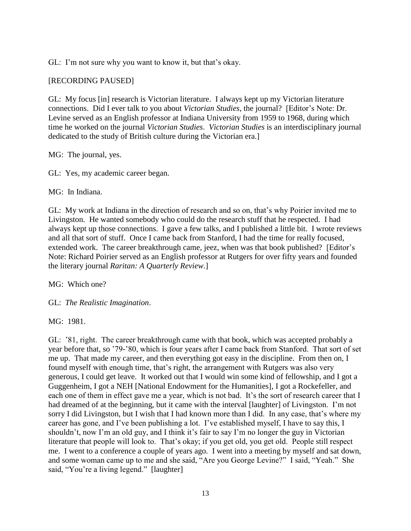GL: I'm not sure why you want to know it, but that's okay.

## [RECORDING PAUSED]

GL: My focus [in] research is Victorian literature. I always kept up my Victorian literature connections. Did I ever talk to you about *Victorian Studies*, the journal? [Editor's Note: Dr. Levine served as an English professor at Indiana University from 1959 to 1968, during which time he worked on the journal *Victorian Studies*. *Victorian Studies* is an interdisciplinary journal dedicated to the study of British culture during the Victorian era.]

MG: The journal, yes.

GL: Yes, my academic career began.

MG: In Indiana.

GL: My work at Indiana in the direction of research and so on, that's why Poirier invited me to Livingston. He wanted somebody who could do the research stuff that he respected. I had always kept up those connections. I gave a few talks, and I published a little bit. I wrote reviews and all that sort of stuff. Once I came back from Stanford, I had the time for really focused, extended work. The career breakthrough came, jeez, when was that book published? [Editor's Note: Richard Poirier served as an English professor at Rutgers for over fifty years and founded the literary journal *Raritan: A Quarterly Review*.]

MG: Which one?

GL: *The Realistic Imagination*.

MG: 1981.

GL: '81, right. The career breakthrough came with that book, which was accepted probably a year before that, so '79-'80, which is four years after I came back from Stanford. That sort of set me up. That made my career, and then everything got easy in the discipline. From then on, I found myself with enough time, that's right, the arrangement with Rutgers was also very generous, I could get leave. It worked out that I would win some kind of fellowship, and I got a Guggenheim, I got a NEH [National Endowment for the Humanities], I got a Rockefeller, and each one of them in effect gave me a year, which is not bad. It's the sort of research career that I had dreamed of at the beginning, but it came with the interval [laughter] of Livingston. I'm not sorry I did Livingston, but I wish that I had known more than I did. In any case, that's where my career has gone, and I've been publishing a lot. I've established myself, I have to say this, I shouldn't, now I'm an old guy, and I think it's fair to say I'm no longer the guy in Victorian literature that people will look to. That's okay; if you get old, you get old. People still respect me. I went to a conference a couple of years ago. I went into a meeting by myself and sat down, and some woman came up to me and she said, "Are you George Levine?" I said, "Yeah." She said, "You're a living legend." [laughter]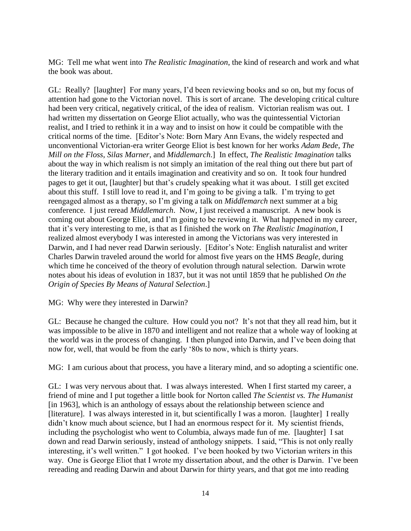MG: Tell me what went into *The Realistic Imagination*, the kind of research and work and what the book was about.

GL: Really? [laughter] For many years, I'd been reviewing books and so on, but my focus of attention had gone to the Victorian novel. This is sort of arcane. The developing critical culture had been very critical, negatively critical, of the idea of realism. Victorian realism was out. I had written my dissertation on George Eliot actually, who was the quintessential Victorian realist, and I tried to rethink it in a way and to insist on how it could be compatible with the critical norms of the time. [Editor's Note: Born Mary Ann Evans, the widely respected and unconventional Victorian-era writer George Eliot is best known for her works *Adam Bede*, *The Mill on the Floss*, *Silas Marner*, and *Middlemarch*.] In effect, *The Realistic Imagination* talks about the way in which realism is not simply an imitation of the real thing out there but part of the literary tradition and it entails imagination and creativity and so on. It took four hundred pages to get it out, [laughter] but that's crudely speaking what it was about. I still get excited about this stuff. I still love to read it, and I'm going to be giving a talk. I'm trying to get reengaged almost as a therapy, so I'm giving a talk on *Middlemarch* next summer at a big conference. I just reread *Middlemarch*. Now, I just received a manuscript. A new book is coming out about George Eliot, and I'm going to be reviewing it. What happened in my career, that it's very interesting to me, is that as I finished the work on *The Realistic Imagination*, I realized almost everybody I was interested in among the Victorians was very interested in Darwin, and I had never read Darwin seriously. [Editor's Note: English naturalist and writer Charles Darwin traveled around the world for almost five years on the HMS *Beagle*, during which time he conceived of the theory of evolution through natural selection. Darwin wrote notes about his ideas of evolution in 1837, but it was not until 1859 that he published *On the Origin of Species By Means of Natural Selection*.]

MG: Why were they interested in Darwin?

GL: Because he changed the culture. How could you not? It's not that they all read him, but it was impossible to be alive in 1870 and intelligent and not realize that a whole way of looking at the world was in the process of changing. I then plunged into Darwin, and I've been doing that now for, well, that would be from the early '80s to now, which is thirty years.

MG: I am curious about that process, you have a literary mind, and so adopting a scientific one.

GL: I was very nervous about that. I was always interested. When I first started my career, a friend of mine and I put together a little book for Norton called *The Scientist vs. The Humanist* [in 1963], which is an anthology of essays about the relationship between science and [literature]. I was always interested in it, but scientifically I was a moron. [laughter] I really didn't know much about science, but I had an enormous respect for it. My scientist friends, including the psychologist who went to Columbia, always made fun of me. [laughter] I sat down and read Darwin seriously, instead of anthology snippets. I said, "This is not only really interesting, it's well written." I got hooked. I've been hooked by two Victorian writers in this way. One is George Eliot that I wrote my dissertation about, and the other is Darwin. I've been rereading and reading Darwin and about Darwin for thirty years, and that got me into reading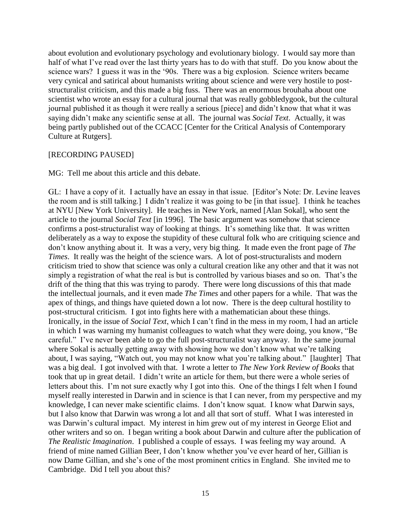about evolution and evolutionary psychology and evolutionary biology. I would say more than half of what I've read over the last thirty years has to do with that stuff. Do you know about the science wars? I guess it was in the '90s. There was a big explosion. Science writers became very cynical and satirical about humanists writing about science and were very hostile to poststructuralist criticism, and this made a big fuss. There was an enormous brouhaha about one scientist who wrote an essay for a cultural journal that was really gobbledygook, but the cultural journal published it as though it were really a serious [piece] and didn't know that what it was saying didn't make any scientific sense at all. The journal was *Social Text*. Actually, it was being partly published out of the CCACC [Center for the Critical Analysis of Contemporary Culture at Rutgers].

#### [RECORDING PAUSED]

MG: Tell me about this article and this debate.

GL: I have a copy of it. I actually have an essay in that issue. [Editor's Note: Dr. Levine leaves the room and is still talking.] I didn't realize it was going to be [in that issue]. I think he teaches at NYU [New York University]. He teaches in New York, named [Alan Sokal], who sent the article to the journal *Social Text* [in 1996]. The basic argument was somehow that science confirms a post-structuralist way of looking at things. It's something like that. It was written deliberately as a way to expose the stupidity of these cultural folk who are critiquing science and don't know anything about it. It was a very, very big thing. It made even the front page of *The Times*. It really was the height of the science wars. A lot of post-structuralists and modern criticism tried to show that science was only a cultural creation like any other and that it was not simply a registration of what the real is but is controlled by various biases and so on. That's the drift of the thing that this was trying to parody. There were long discussions of this that made the intellectual journals, and it even made *The Times* and other papers for a while. That was the apex of things, and things have quieted down a lot now. There is the deep cultural hostility to post-structural criticism. I got into fights here with a mathematician about these things. Ironically, in the issue of *Social Text*, which I can't find in the mess in my room, I had an article in which I was warning my humanist colleagues to watch what they were doing, you know, "Be careful." I've never been able to go the full post-structuralist way anyway. In the same journal where Sokal is actually getting away with showing how we don't know what we're talking about, I was saying, "Watch out, you may not know what you're talking about." [laughter] That was a big deal. I got involved with that. I wrote a letter to *The New York Review of Books* that took that up in great detail. I didn't write an article for them, but there were a whole series of letters about this. I'm not sure exactly why I got into this. One of the things I felt when I found myself really interested in Darwin and in science is that I can never, from my perspective and my knowledge, I can never make scientific claims. I don't know squat. I know what Darwin says, but I also know that Darwin was wrong a lot and all that sort of stuff. What I was interested in was Darwin's cultural impact. My interest in him grew out of my interest in George Eliot and other writers and so on. I began writing a book about Darwin and culture after the publication of *The Realistic Imagination*. I published a couple of essays. I was feeling my way around. A friend of mine named Gillian Beer, I don't know whether you've ever heard of her, Gillian is now Dame Gillian, and she's one of the most prominent critics in England. She invited me to Cambridge. Did I tell you about this?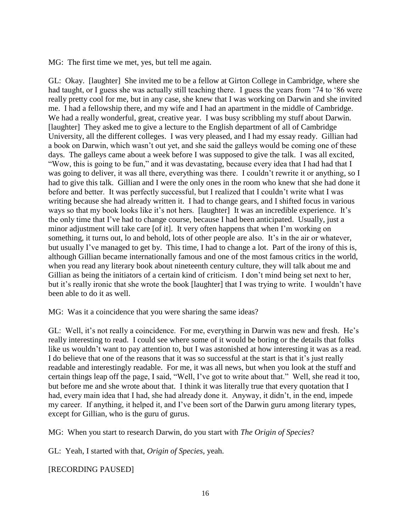MG: The first time we met, yes, but tell me again.

GL: Okay. [laughter] She invited me to be a fellow at Girton College in Cambridge, where she had taught, or I guess she was actually still teaching there. I guess the years from '74 to '86 were really pretty cool for me, but in any case, she knew that I was working on Darwin and she invited me. I had a fellowship there, and my wife and I had an apartment in the middle of Cambridge. We had a really wonderful, great, creative year. I was busy scribbling my stuff about Darwin. [laughter] They asked me to give a lecture to the English department of all of Cambridge University, all the different colleges. I was very pleased, and I had my essay ready. Gillian had a book on Darwin, which wasn't out yet, and she said the galleys would be coming one of these days. The galleys came about a week before I was supposed to give the talk. I was all excited, "Wow, this is going to be fun," and it was devastating, because every idea that I had had that I was going to deliver, it was all there, everything was there. I couldn't rewrite it or anything, so I had to give this talk. Gillian and I were the only ones in the room who knew that she had done it before and better. It was perfectly successful, but I realized that I couldn't write what I was writing because she had already written it. I had to change gears, and I shifted focus in various ways so that my book looks like it's not hers. [laughter] It was an incredible experience. It's the only time that I've had to change course, because I had been anticipated. Usually, just a minor adjustment will take care [of it]. It very often happens that when I'm working on something, it turns out, lo and behold, lots of other people are also. It's in the air or whatever, but usually I've managed to get by. This time, I had to change a lot. Part of the irony of this is, although Gillian became internationally famous and one of the most famous critics in the world, when you read any literary book about nineteenth century culture, they will talk about me and Gillian as being the initiators of a certain kind of criticism. I don't mind being set next to her, but it's really ironic that she wrote the book [laughter] that I was trying to write. I wouldn't have been able to do it as well.

MG: Was it a coincidence that you were sharing the same ideas?

GL: Well, it's not really a coincidence. For me, everything in Darwin was new and fresh. He's really interesting to read. I could see where some of it would be boring or the details that folks like us wouldn't want to pay attention to, but I was astonished at how interesting it was as a read. I do believe that one of the reasons that it was so successful at the start is that it's just really readable and interestingly readable. For me, it was all news, but when you look at the stuff and certain things leap off the page, I said, "Well, I've got to write about that." Well, she read it too, but before me and she wrote about that. I think it was literally true that every quotation that I had, every main idea that I had, she had already done it. Anyway, it didn't, in the end, impede my career. If anything, it helped it, and I've been sort of the Darwin guru among literary types, except for Gillian, who is the guru of gurus.

MG: When you start to research Darwin, do you start with *The Origin of Species*?

GL: Yeah, I started with that, *Origin of Species*, yeah.

[RECORDING PAUSED]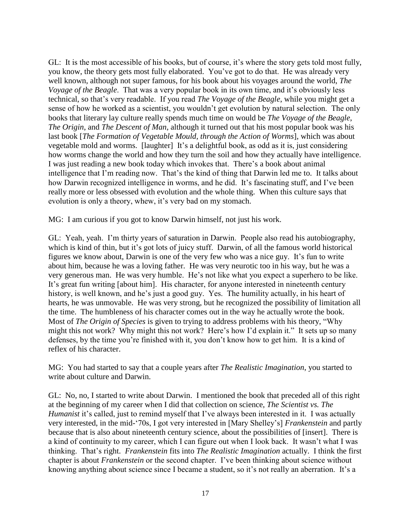GL: It is the most accessible of his books, but of course, it's where the story gets told most fully, you know, the theory gets most fully elaborated. You've got to do that. He was already very well known, although not super famous, for his book about his voyages around the world, *The Voyage of the Beagle*. That was a very popular book in its own time, and it's obviously less technical, so that's very readable. If you read *The Voyage of the Beagle*, while you might get a sense of how he worked as a scientist, you wouldn't get evolution by natural selection. The only books that literary lay culture really spends much time on would be *The Voyage of the Beagle*, *The Origin*, and *The Descent of Man*, although it turned out that his most popular book was his last book [*The Formation of Vegetable Mould, through the Action of Worms*], which was about vegetable mold and worms. [laughter] It's a delightful book, as odd as it is, just considering how worms change the world and how they turn the soil and how they actually have intelligence. I was just reading a new book today which invokes that. There's a book about animal intelligence that I'm reading now. That's the kind of thing that Darwin led me to. It talks about how Darwin recognized intelligence in worms, and he did. It's fascinating stuff, and I've been really more or less obsessed with evolution and the whole thing. When this culture says that evolution is only a theory, whew, it's very bad on my stomach.

MG: I am curious if you got to know Darwin himself, not just his work.

GL: Yeah, yeah. I'm thirty years of saturation in Darwin. People also read his autobiography, which is kind of thin, but it's got lots of juicy stuff. Darwin, of all the famous world historical figures we know about, Darwin is one of the very few who was a nice guy. It's fun to write about him, because he was a loving father. He was very neurotic too in his way, but he was a very generous man. He was very humble. He's not like what you expect a superhero to be like. It's great fun writing [about him]. His character, for anyone interested in nineteenth century history, is well known, and he's just a good guy. Yes. The humility actually, in his heart of hearts, he was unmovable. He was very strong, but he recognized the possibility of limitation all the time. The humbleness of his character comes out in the way he actually wrote the book. Most of *The Origin of Species* is given to trying to address problems with his theory, "Why might this not work? Why might this not work? Here's how I'd explain it." It sets up so many defenses, by the time you're finished with it, you don't know how to get him. It is a kind of reflex of his character.

MG: You had started to say that a couple years after *The Realistic Imagination*, you started to write about culture and Darwin.

GL: No, no, I started to write about Darwin. I mentioned the book that preceded all of this right at the beginning of my career when I did that collection on science, *The Scientist vs. The Humanist* it's called, just to remind myself that I've always been interested in it. I was actually very interested, in the mid-'70s, I got very interested in [Mary Shelley's] *Frankenstein* and partly because that is also about nineteenth century science, about the possibilities of [insert]. There is a kind of continuity to my career, which I can figure out when I look back. It wasn't what I was thinking. That's right. *Frankenstein* fits into *The Realistic Imagination* actually. I think the first chapter is about *Frankenstein* or the second chapter. I've been thinking about science without knowing anything about science since I became a student, so it's not really an aberration. It's a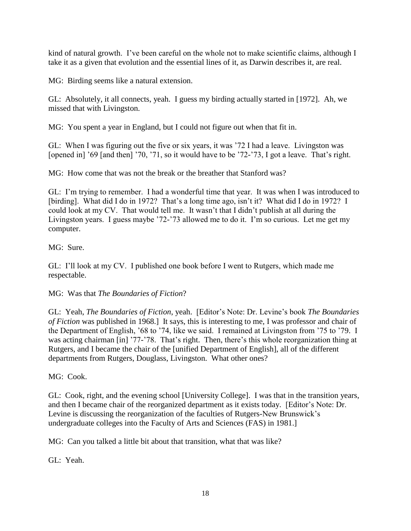kind of natural growth. I've been careful on the whole not to make scientific claims, although I take it as a given that evolution and the essential lines of it, as Darwin describes it, are real.

MG: Birding seems like a natural extension.

GL: Absolutely, it all connects, yeah. I guess my birding actually started in [1972]. Ah, we missed that with Livingston.

MG: You spent a year in England, but I could not figure out when that fit in.

GL: When I was figuring out the five or six years, it was '72 I had a leave. Livingston was [opened in] '69 [and then] '70, '71, so it would have to be '72-'73, I got a leave. That's right.

MG: How come that was not the break or the breather that Stanford was?

GL: I'm trying to remember. I had a wonderful time that year. It was when I was introduced to [birding]. What did I do in 1972? That's a long time ago, isn't it? What did I do in 1972? I could look at my CV. That would tell me. It wasn't that I didn't publish at all during the Livingston years. I guess maybe '72-'73 allowed me to do it. I'm so curious. Let me get my computer.

MG: Sure.

GL: I'll look at my CV. I published one book before I went to Rutgers, which made me respectable.

#### MG: Was that *The Boundaries of Fiction*?

GL: Yeah, *The Boundaries of Fiction*, yeah. [Editor's Note: Dr. Levine's book *The Boundaries of Fiction* was published in 1968.] It says, this is interesting to me, I was professor and chair of the Department of English, '68 to '74, like we said. I remained at Livingston from '75 to '79. I was acting chairman [in] '77-'78. That's right. Then, there's this whole reorganization thing at Rutgers, and I became the chair of the [unified Department of English], all of the different departments from Rutgers, Douglass, Livingston. What other ones?

MG: Cook.

GL: Cook, right, and the evening school [University College]. I was that in the transition years, and then I became chair of the reorganized department as it exists today. [Editor's Note: Dr. Levine is discussing the reorganization of the faculties of Rutgers-New Brunswick's undergraduate colleges into the Faculty of Arts and Sciences (FAS) in 1981.]

MG: Can you talked a little bit about that transition, what that was like?

GL: Yeah.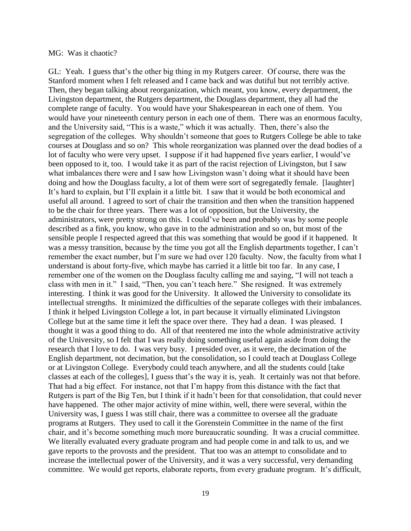#### MG: Was it chaotic?

GL: Yeah. I guess that's the other big thing in my Rutgers career. Of course, there was the Stanford moment when I felt released and I came back and was dutiful but not terribly active. Then, they began talking about reorganization, which meant, you know, every department, the Livingston department, the Rutgers department, the Douglass department, they all had the complete range of faculty. You would have your Shakespearean in each one of them. You would have your nineteenth century person in each one of them. There was an enormous faculty, and the University said, "This is a waste," which it was actually. Then, there's also the segregation of the colleges. Why shouldn't someone that goes to Rutgers College be able to take courses at Douglass and so on? This whole reorganization was planned over the dead bodies of a lot of faculty who were very upset. I suppose if it had happened five years earlier, I would've been opposed to it, too. I would take it as part of the racist rejection of Livingston, but I saw what imbalances there were and I saw how Livingston wasn't doing what it should have been doing and how the Douglass faculty, a lot of them were sort of segregatedly female. [laughter] It's hard to explain, but I'll explain it a little bit. I saw that it would be both economical and useful all around. I agreed to sort of chair the transition and then when the transition happened to be the chair for three years. There was a lot of opposition, but the University, the administrators, were pretty strong on this. I could've been and probably was by some people described as a fink, you know, who gave in to the administration and so on, but most of the sensible people I respected agreed that this was something that would be good if it happened. It was a messy transition, because by the time you got all the English departments together, I can't remember the exact number, but I'm sure we had over 120 faculty. Now, the faculty from what I understand is about forty-five, which maybe has carried it a little bit too far. In any case, I remember one of the women on the Douglass faculty calling me and saying, "I will not teach a class with men in it." I said, "Then, you can't teach here." She resigned. It was extremely interesting. I think it was good for the University. It allowed the University to consolidate its intellectual strengths. It minimized the difficulties of the separate colleges with their imbalances. I think it helped Livingston College a lot, in part because it virtually eliminated Livingston College but at the same time it left the space over there. They had a dean. I was pleased. I thought it was a good thing to do. All of that reentered me into the whole administrative activity of the University, so I felt that I was really doing something useful again aside from doing the research that I love to do. I was very busy. I presided over, as it were, the decimation of the English department, not decimation, but the consolidation, so I could teach at Douglass College or at Livingston College. Everybody could teach anywhere, and all the students could [take classes at each of the colleges], I guess that's the way it is, yeah. It certainly was not that before. That had a big effect. For instance, not that I'm happy from this distance with the fact that Rutgers is part of the Big Ten, but I think if it hadn't been for that consolidation, that could never have happened. The other major activity of mine within, well, there were several, within the University was, I guess I was still chair, there was a committee to oversee all the graduate programs at Rutgers. They used to call it the Gorenstein Committee in the name of the first chair, and it's become something much more bureaucratic sounding. It was a crucial committee. We literally evaluated every graduate program and had people come in and talk to us, and we gave reports to the provosts and the president. That too was an attempt to consolidate and to increase the intellectual power of the University, and it was a very successful, very demanding committee. We would get reports, elaborate reports, from every graduate program. It's difficult,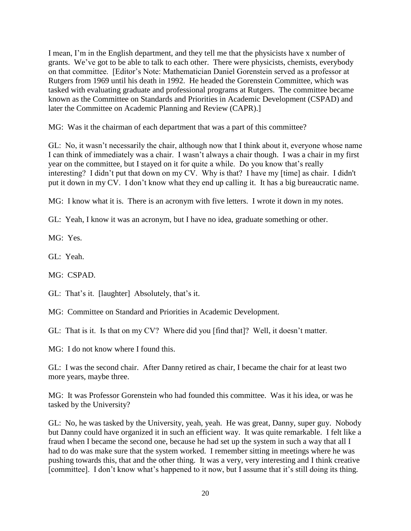I mean, I'm in the English department, and they tell me that the physicists have x number of grants. We've got to be able to talk to each other. There were physicists, chemists, everybody on that committee. [Editor's Note: Mathematician Daniel Gorenstein served as a professor at Rutgers from 1969 until his death in 1992. He headed the Gorenstein Committee, which was tasked with evaluating graduate and professional programs at Rutgers. The committee became known as the Committee on Standards and Priorities in Academic Development (CSPAD) and later the Committee on Academic Planning and Review (CAPR).]

MG: Was it the chairman of each department that was a part of this committee?

GL: No, it wasn't necessarily the chair, although now that I think about it, everyone whose name I can think of immediately was a chair. I wasn't always a chair though. I was a chair in my first year on the committee, but I stayed on it for quite a while. Do you know that's really interesting? I didn't put that down on my CV. Why is that? I have my [time] as chair. I didn't put it down in my CV. I don't know what they end up calling it. It has a big bureaucratic name.

MG: I know what it is. There is an acronym with five letters. I wrote it down in my notes.

GL: Yeah, I know it was an acronym, but I have no idea, graduate something or other.

MG: Yes.

GL: Yeah.

MG: CSPAD.

GL: That's it. [laughter] Absolutely, that's it.

MG: Committee on Standard and Priorities in Academic Development.

GL: That is it. Is that on my CV? Where did you [find that]? Well, it doesn't matter.

MG: I do not know where I found this.

GL: I was the second chair. After Danny retired as chair, I became the chair for at least two more years, maybe three.

MG: It was Professor Gorenstein who had founded this committee. Was it his idea, or was he tasked by the University?

GL: No, he was tasked by the University, yeah, yeah. He was great, Danny, super guy. Nobody but Danny could have organized it in such an efficient way. It was quite remarkable. I felt like a fraud when I became the second one, because he had set up the system in such a way that all I had to do was make sure that the system worked. I remember sitting in meetings where he was pushing towards this, that and the other thing. It was a very, very interesting and I think creative [committee]. I don't know what's happened to it now, but I assume that it's still doing its thing.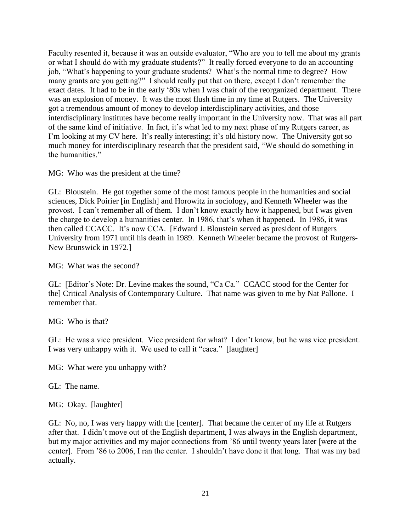Faculty resented it, because it was an outside evaluator, "Who are you to tell me about my grants or what I should do with my graduate students?" It really forced everyone to do an accounting job, "What's happening to your graduate students? What's the normal time to degree? How many grants are you getting?" I should really put that on there, except I don't remember the exact dates. It had to be in the early '80s when I was chair of the reorganized department. There was an explosion of money. It was the most flush time in my time at Rutgers. The University got a tremendous amount of money to develop interdisciplinary activities, and those interdisciplinary institutes have become really important in the University now. That was all part of the same kind of initiative. In fact, it's what led to my next phase of my Rutgers career, as I'm looking at my CV here. It's really interesting; it's old history now. The University got so much money for interdisciplinary research that the president said, "We should do something in the humanities."

MG: Who was the president at the time?

GL: Bloustein. He got together some of the most famous people in the humanities and social sciences, Dick Poirier [in English] and Horowitz in sociology, and Kenneth Wheeler was the provost. I can't remember all of them. I don't know exactly how it happened, but I was given the charge to develop a humanities center. In 1986, that's when it happened. In 1986, it was then called CCACC. It's now CCA. [Edward J. Bloustein served as president of Rutgers University from 1971 until his death in 1989. Kenneth Wheeler became the provost of Rutgers-New Brunswick in 1972.]

MG: What was the second?

GL: [Editor's Note: Dr. Levine makes the sound, "Ca Ca." CCACC stood for the Center for the] Critical Analysis of Contemporary Culture. That name was given to me by Nat Pallone. I remember that.

MG: Who is that?

GL: He was a vice president. Vice president for what? I don't know, but he was vice president. I was very unhappy with it. We used to call it "caca." [laughter]

MG: What were you unhappy with?

GL: The name.

MG: Okay. [laughter]

GL: No, no, I was very happy with the [center]. That became the center of my life at Rutgers after that. I didn't move out of the English department, I was always in the English department, but my major activities and my major connections from '86 until twenty years later [were at the center]. From '86 to 2006, I ran the center. I shouldn't have done it that long. That was my bad actually.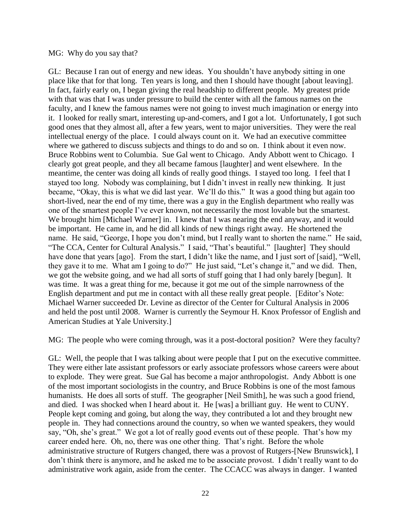#### MG: Why do you say that?

GL: Because I ran out of energy and new ideas. You shouldn't have anybody sitting in one place like that for that long. Ten years is long, and then I should have thought [about leaving]. In fact, fairly early on, I began giving the real headship to different people. My greatest pride with that was that I was under pressure to build the center with all the famous names on the faculty, and I knew the famous names were not going to invest much imagination or energy into it. I looked for really smart, interesting up-and-comers, and I got a lot. Unfortunately, I got such good ones that they almost all, after a few years, went to major universities. They were the real intellectual energy of the place. I could always count on it. We had an executive committee where we gathered to discuss subjects and things to do and so on. I think about it even now. Bruce Robbins went to Columbia. Sue Gal went to Chicago. Andy Abbott went to Chicago. I clearly got great people, and they all became famous [laughter] and went elsewhere. In the meantime, the center was doing all kinds of really good things. I stayed too long. I feel that I stayed too long. Nobody was complaining, but I didn't invest in really new thinking. It just became, "Okay, this is what we did last year. We'll do this." It was a good thing but again too short-lived, near the end of my time, there was a guy in the English department who really was one of the smartest people I've ever known, not necessarily the most lovable but the smartest. We brought him [Michael Warner] in. I knew that I was nearing the end anyway, and it would be important. He came in, and he did all kinds of new things right away. He shortened the name. He said, "George, I hope you don't mind, but I really want to shorten the name." He said, "The CCA, Center for Cultural Analysis." I said, "That's beautiful." [laughter] They should have done that years [ago]. From the start, I didn't like the name, and I just sort of [said], "Well, they gave it to me. What am I going to do?" He just said, "Let's change it," and we did. Then, we got the website going, and we had all sorts of stuff going that I had only barely [begun]. It was time. It was a great thing for me, because it got me out of the simple narrowness of the English department and put me in contact with all these really great people. [Editor's Note: Michael Warner succeeded Dr. Levine as director of the Center for Cultural Analysis in 2006 and held the post until 2008. Warner is currently the Seymour H. Knox Professor of English and American Studies at Yale University.]

MG: The people who were coming through, was it a post-doctoral position? Were they faculty?

GL: Well, the people that I was talking about were people that I put on the executive committee. They were either late assistant professors or early associate professors whose careers were about to explode. They were great. Sue Gal has become a major anthropologist. Andy Abbott is one of the most important sociologists in the country, and Bruce Robbins is one of the most famous humanists. He does all sorts of stuff. The geographer [Neil Smith], he was such a good friend, and died. I was shocked when I heard about it. He [was] a brilliant guy. He went to CUNY. People kept coming and going, but along the way, they contributed a lot and they brought new people in. They had connections around the country, so when we wanted speakers, they would say, "Oh, she's great." We got a lot of really good events out of these people. That's how my career ended here. Oh, no, there was one other thing. That's right. Before the whole administrative structure of Rutgers changed, there was a provost of Rutgers-[New Brunswick], I don't think there is anymore, and he asked me to be associate provost. I didn't really want to do administrative work again, aside from the center. The CCACC was always in danger. I wanted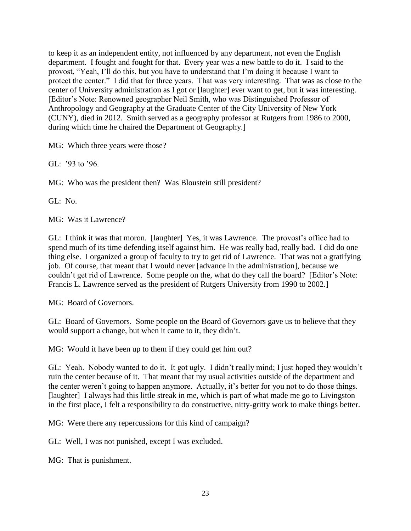to keep it as an independent entity, not influenced by any department, not even the English department. I fought and fought for that. Every year was a new battle to do it. I said to the provost, "Yeah, I'll do this, but you have to understand that I'm doing it because I want to protect the center." I did that for three years. That was very interesting. That was as close to the center of University administration as I got or [laughter] ever want to get, but it was interesting. [Editor's Note: Renowned geographer Neil Smith, who was Distinguished Professor of Anthropology and Geography at the Graduate Center of the City University of New York (CUNY), died in 2012. Smith served as a geography professor at Rutgers from 1986 to 2000, during which time he chaired the Department of Geography.]

MG: Which three years were those?

GL: '93 to '96.

MG: Who was the president then? Was Bloustein still president?

GL: No.

MG: Was it Lawrence?

GL: I think it was that moron. [laughter] Yes, it was Lawrence. The provost's office had to spend much of its time defending itself against him. He was really bad, really bad. I did do one thing else. I organized a group of faculty to try to get rid of Lawrence. That was not a gratifying job. Of course, that meant that I would never [advance in the administration], because we couldn't get rid of Lawrence. Some people on the, what do they call the board? [Editor's Note: Francis L. Lawrence served as the president of Rutgers University from 1990 to 2002.]

MG: Board of Governors.

GL: Board of Governors. Some people on the Board of Governors gave us to believe that they would support a change, but when it came to it, they didn't.

MG: Would it have been up to them if they could get him out?

GL: Yeah. Nobody wanted to do it. It got ugly. I didn't really mind; I just hoped they wouldn't ruin the center because of it. That meant that my usual activities outside of the department and the center weren't going to happen anymore. Actually, it's better for you not to do those things. [laughter] I always had this little streak in me, which is part of what made me go to Livingston in the first place, I felt a responsibility to do constructive, nitty-gritty work to make things better.

MG: Were there any repercussions for this kind of campaign?

GL: Well, I was not punished, except I was excluded.

MG: That is punishment.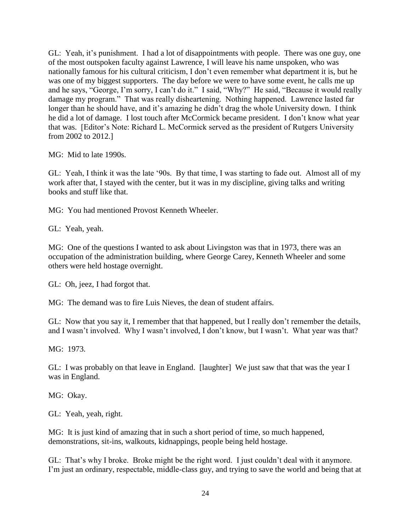GL: Yeah, it's punishment. I had a lot of disappointments with people. There was one guy, one of the most outspoken faculty against Lawrence, I will leave his name unspoken, who was nationally famous for his cultural criticism, I don't even remember what department it is, but he was one of my biggest supporters. The day before we were to have some event, he calls me up and he says, "George, I'm sorry, I can't do it." I said, "Why?" He said, "Because it would really damage my program." That was really disheartening. Nothing happened. Lawrence lasted far longer than he should have, and it's amazing he didn't drag the whole University down. I think he did a lot of damage. I lost touch after McCormick became president. I don't know what year that was. [Editor's Note: Richard L. McCormick served as the president of Rutgers University from 2002 to 2012.]

MG: Mid to late 1990s.

GL: Yeah, I think it was the late '90s. By that time, I was starting to fade out. Almost all of my work after that, I stayed with the center, but it was in my discipline, giving talks and writing books and stuff like that.

MG: You had mentioned Provost Kenneth Wheeler.

GL: Yeah, yeah.

MG: One of the questions I wanted to ask about Livingston was that in 1973, there was an occupation of the administration building, where George Carey, Kenneth Wheeler and some others were held hostage overnight.

GL: Oh, jeez, I had forgot that.

MG: The demand was to fire Luis Nieves, the dean of student affairs.

GL: Now that you say it, I remember that that happened, but I really don't remember the details, and I wasn't involved. Why I wasn't involved, I don't know, but I wasn't. What year was that?

MG: 1973.

GL: I was probably on that leave in England. [laughter] We just saw that that was the year I was in England.

MG: Okay.

GL: Yeah, yeah, right.

MG: It is just kind of amazing that in such a short period of time, so much happened, demonstrations, sit-ins, walkouts, kidnappings, people being held hostage.

GL: That's why I broke. Broke might be the right word. I just couldn't deal with it anymore. I'm just an ordinary, respectable, middle-class guy, and trying to save the world and being that at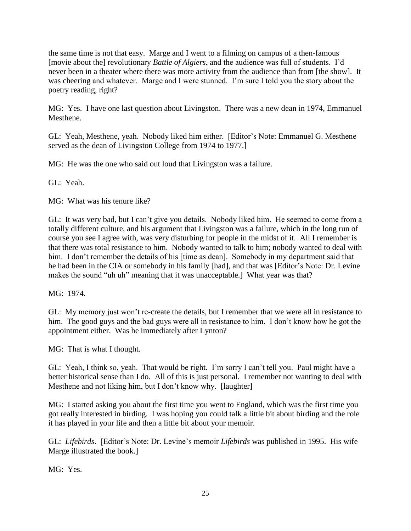the same time is not that easy. Marge and I went to a filming on campus of a then-famous [movie about the] revolutionary *Battle of Algiers*, and the audience was full of students. I'd never been in a theater where there was more activity from the audience than from [the show]. It was cheering and whatever. Marge and I were stunned. I'm sure I told you the story about the poetry reading, right?

MG: Yes. I have one last question about Livingston. There was a new dean in 1974, Emmanuel Mesthene.

GL: Yeah, Mesthene, yeah. Nobody liked him either. [Editor's Note: Emmanuel G. Mesthene served as the dean of Livingston College from 1974 to 1977.]

MG: He was the one who said out loud that Livingston was a failure.

GL: Yeah.

MG: What was his tenure like?

GL: It was very bad, but I can't give you details. Nobody liked him. He seemed to come from a totally different culture, and his argument that Livingston was a failure, which in the long run of course you see I agree with, was very disturbing for people in the midst of it. All I remember is that there was total resistance to him. Nobody wanted to talk to him; nobody wanted to deal with him. I don't remember the details of his [time as dean]. Somebody in my department said that he had been in the CIA or somebody in his family [had], and that was [Editor's Note: Dr. Levine makes the sound "uh uh" meaning that it was unacceptable.] What year was that?

MG: 1974.

GL: My memory just won't re-create the details, but I remember that we were all in resistance to him. The good guys and the bad guys were all in resistance to him. I don't know how he got the appointment either. Was he immediately after Lynton?

MG: That is what I thought.

GL: Yeah, I think so, yeah. That would be right. I'm sorry I can't tell you. Paul might have a better historical sense than I do. All of this is just personal. I remember not wanting to deal with Mesthene and not liking him, but I don't know why. [laughter]

MG: I started asking you about the first time you went to England, which was the first time you got really interested in birding. I was hoping you could talk a little bit about birding and the role it has played in your life and then a little bit about your memoir.

GL: *Lifebirds*. [Editor's Note: Dr. Levine's memoir *Lifebirds* was published in 1995. His wife Marge illustrated the book.]

MG: Yes.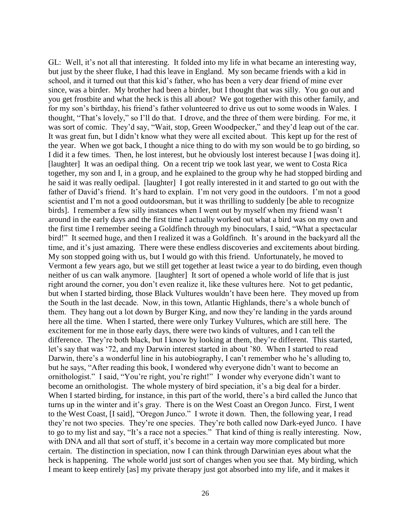GL: Well, it's not all that interesting. It folded into my life in what became an interesting way, but just by the sheer fluke, I had this leave in England. My son became friends with a kid in school, and it turned out that this kid's father, who has been a very dear friend of mine ever since, was a birder. My brother had been a birder, but I thought that was silly. You go out and you get frostbite and what the heck is this all about? We got together with this other family, and for my son's birthday, his friend's father volunteered to drive us out to some woods in Wales. I thought, "That's lovely," so I'll do that. I drove, and the three of them were birding. For me, it was sort of comic. They'd say, "Wait, stop, Green Woodpecker," and they'd leap out of the car. It was great fun, but I didn't know what they were all excited about. This kept up for the rest of the year. When we got back, I thought a nice thing to do with my son would be to go birding, so I did it a few times. Then, he lost interest, but he obviously lost interest because I [was doing it]. [laughter] It was an oedipal thing. On a recent trip we took last year, we went to Costa Rica together, my son and I, in a group, and he explained to the group why he had stopped birding and he said it was really oedipal. [laughter] I got really interested in it and started to go out with the father of David's friend. It's hard to explain. I'm not very good in the outdoors. I'm not a good scientist and I'm not a good outdoorsman, but it was thrilling to suddenly [be able to recognize birds]. I remember a few silly instances when I went out by myself when my friend wasn't around in the early days and the first time I actually worked out what a bird was on my own and the first time I remember seeing a Goldfinch through my binoculars, I said, "What a spectacular bird!" It seemed huge, and then I realized it was a Goldfinch. It's around in the backyard all the time, and it's just amazing. There were these endless discoveries and excitements about birding. My son stopped going with us, but I would go with this friend. Unfortunately, he moved to Vermont a few years ago, but we still get together at least twice a year to do birding, even though neither of us can walk anymore. [laughter] It sort of opened a whole world of life that is just right around the corner, you don't even realize it, like these vultures here. Not to get pedantic, but when I started birding, those Black Vultures wouldn't have been here. They moved up from the South in the last decade. Now, in this town, Atlantic Highlands, there's a whole bunch of them. They hang out a lot down by Burger King, and now they're landing in the yards around here all the time. When I started, there were only Turkey Vultures, which are still here. The excitement for me in those early days, there were two kinds of vultures, and I can tell the difference. They're both black, but I know by looking at them, they're different. This started, let's say that was '72, and my Darwin interest started in about '80. When I started to read Darwin, there's a wonderful line in his autobiography, I can't remember who he's alluding to, but he says, "After reading this book, I wondered why everyone didn't want to become an ornithologist." I said, "You're right, you're right!" I wonder why everyone didn't want to become an ornithologist. The whole mystery of bird speciation, it's a big deal for a birder. When I started birding, for instance, in this part of the world, there's a bird called the Junco that turns up in the winter and it's gray. There is on the West Coast an Oregon Junco. First, I went to the West Coast, [I said], "Oregon Junco." I wrote it down. Then, the following year, I read they're not two species. They're one species. They're both called now Dark-eyed Junco. I have to go to my list and say, "It's a race not a species." That kind of thing is really interesting. Now, with DNA and all that sort of stuff, it's become in a certain way more complicated but more certain. The distinction in speciation, now I can think through Darwinian eyes about what the heck is happening. The whole world just sort of changes when you see that. My birding, which I meant to keep entirely [as] my private therapy just got absorbed into my life, and it makes it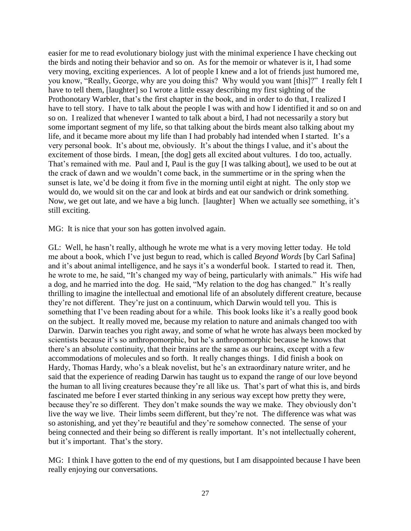easier for me to read evolutionary biology just with the minimal experience I have checking out the birds and noting their behavior and so on. As for the memoir or whatever is it, I had some very moving, exciting experiences. A lot of people I knew and a lot of friends just humored me, you know, "Really, George, why are you doing this? Why would you want [this]?" I really felt I have to tell them, [laughter] so I wrote a little essay describing my first sighting of the Prothonotary Warbler, that's the first chapter in the book, and in order to do that, I realized I have to tell story. I have to talk about the people I was with and how I identified it and so on and so on. I realized that whenever I wanted to talk about a bird, I had not necessarily a story but some important segment of my life, so that talking about the birds meant also talking about my life, and it became more about my life than I had probably had intended when I started. It's a very personal book. It's about me, obviously. It's about the things I value, and it's about the excitement of those birds. I mean, [the dog] gets all excited about vultures. I do too, actually. That's remained with me. Paul and I, Paul is the guy [I was talking about], we used to be out at the crack of dawn and we wouldn't come back, in the summertime or in the spring when the sunset is late, we'd be doing it from five in the morning until eight at night. The only stop we would do, we would sit on the car and look at birds and eat our sandwich or drink something. Now, we get out late, and we have a big lunch. [laughter] When we actually see something, it's still exciting.

MG: It is nice that your son has gotten involved again.

GL: Well, he hasn't really, although he wrote me what is a very moving letter today. He told me about a book, which I've just begun to read, which is called *Beyond Words* [by Carl Safina] and it's about animal intelligence, and he says it's a wonderful book. I started to read it. Then, he wrote to me, he said, "It's changed my way of being, particularly with animals." His wife had a dog, and he married into the dog. He said, "My relation to the dog has changed." It's really thrilling to imagine the intellectual and emotional life of an absolutely different creature, because they're not different. They're just on a continuum, which Darwin would tell you. This is something that I've been reading about for a while. This book looks like it's a really good book on the subject. It really moved me, because my relation to nature and animals changed too with Darwin. Darwin teaches you right away, and some of what he wrote has always been mocked by scientists because it's so anthropomorphic, but he's anthropomorphic because he knows that there's an absolute continuity, that their brains are the same as our brains, except with a few accommodations of molecules and so forth. It really changes things. I did finish a book on Hardy, Thomas Hardy, who's a bleak novelist, but he's an extraordinary nature writer, and he said that the experience of reading Darwin has taught us to expand the range of our love beyond the human to all living creatures because they're all like us. That's part of what this is, and birds fascinated me before I ever started thinking in any serious way except how pretty they were, because they're so different. They don't make sounds the way we make. They obviously don't live the way we live. Their limbs seem different, but they're not. The difference was what was so astonishing, and yet they're beautiful and they're somehow connected. The sense of your being connected and their being so different is really important. It's not intellectually coherent, but it's important. That's the story.

MG: I think I have gotten to the end of my questions, but I am disappointed because I have been really enjoying our conversations.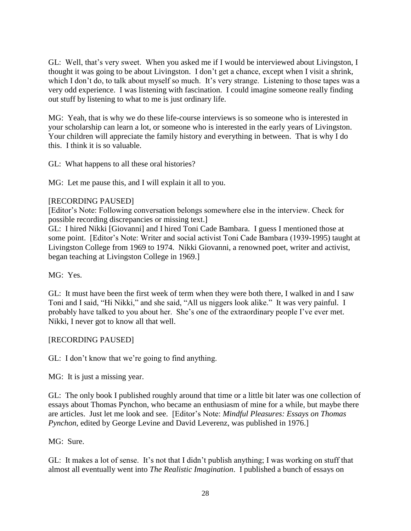GL: Well, that's very sweet. When you asked me if I would be interviewed about Livingston, I thought it was going to be about Livingston. I don't get a chance, except when I visit a shrink, which I don't do, to talk about myself so much. It's very strange. Listening to those tapes was a very odd experience. I was listening with fascination. I could imagine someone really finding out stuff by listening to what to me is just ordinary life.

MG: Yeah, that is why we do these life-course interviews is so someone who is interested in your scholarship can learn a lot, or someone who is interested in the early years of Livingston. Your children will appreciate the family history and everything in between. That is why I do this. I think it is so valuable.

GL: What happens to all these oral histories?

MG: Let me pause this, and I will explain it all to you.

#### [RECORDING PAUSED]

[Editor's Note: Following conversation belongs somewhere else in the interview. Check for possible recording discrepancies or missing text.]

GL: I hired Nikki [Giovanni] and I hired Toni Cade Bambara. I guess I mentioned those at some point. [Editor's Note: Writer and social activist Toni Cade Bambara (1939-1995) taught at Livingston College from 1969 to 1974. Nikki Giovanni, a renowned poet, writer and activist, began teaching at Livingston College in 1969.]

MG: Yes.

GL: It must have been the first week of term when they were both there, I walked in and I saw Toni and I said, "Hi Nikki," and she said, "All us niggers look alike." It was very painful. I probably have talked to you about her. She's one of the extraordinary people I've ever met. Nikki, I never got to know all that well.

# [RECORDING PAUSED]

GL: I don't know that we're going to find anything.

MG: It is just a missing year.

GL: The only book I published roughly around that time or a little bit later was one collection of essays about Thomas Pynchon, who became an enthusiasm of mine for a while, but maybe there are articles. Just let me look and see. [Editor's Note: *Mindful Pleasures: Essays on Thomas Pynchon*, edited by George Levine and David Leverenz, was published in 1976.]

#### MG: Sure.

GL: It makes a lot of sense. It's not that I didn't publish anything; I was working on stuff that almost all eventually went into *The Realistic Imagination*. I published a bunch of essays on